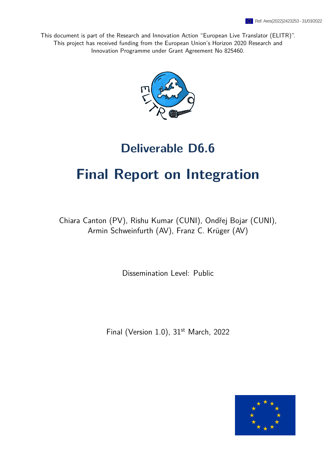This document is part of the Research and Innovation Action "European Live Translator (ELITR)". This project has received funding from the European Union's Horizon 2020 Research and Innovation Programme under Grant Agreement No 825460.



## **Deliverable D6.6**

# **Final Report on Integration**

Chiara Canton (PV), Rishu Kumar (CUNI), Ondřej Bojar (CUNI), Armin Schweinfurth (AV), Franz C. Krüger (AV)

Dissemination Level: Public

Final (Version 1.0), 31<sup>st</sup> March, 2022

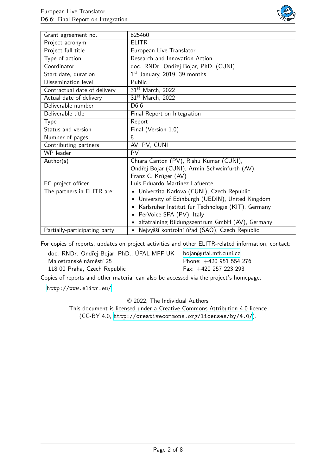

| Grant agreement no.           | 825460                                             |
|-------------------------------|----------------------------------------------------|
| Project acronym               | <b>ELITR</b>                                       |
| Project full title            | European Live Translator                           |
| Type of action                | Research and Innovation Action                     |
| Coordinator                   | doc. RNDr. Ondřej Bojar, PhD. (CUNI)               |
| Start date, duration          | $1st$ January, 2019, 39 months                     |
| Dissemination level           | Public                                             |
| Contractual date of delivery  | 31 <sup>st</sup> March, 2022                       |
| Actual date of delivery       | 31 <sup>st</sup> March, 2022                       |
| Deliverable number            | D <sub>6.6</sub>                                   |
| Deliverable title             | Final Report on Integration                        |
| <b>Type</b>                   | Report                                             |
| Status and version            | Final (Version 1.0)                                |
| Number of pages               | 8                                                  |
| Contributing partners         | AV, PV, CUNI                                       |
| WP leader                     | PV                                                 |
| Author(s)                     | Chiara Canton (PV), Rishu Kumar (CUNI),            |
|                               | Ondřej Bojar (CUNI), Armin Schweinfurth (AV),      |
|                               | Franz C. Krüger (AV)                               |
| EC project officer            | Luis Eduardo Martinez Lafuente                     |
| The partners in ELITR are:    | Univerzita Karlova (CUNI), Czech Republic          |
|                               | University of Edinburgh (UEDIN), United Kingdom    |
|                               | Karlsruher Institut für Technologie (KIT), Germany |
|                               | PerVoice SPA (PV), Italy                           |
|                               | alfatraining Bildungszentrum GmbH (AV), Germany    |
| Partially-participating party | · Nejvyšší kontrolní úřad (SAO), Czech Republic    |

For copies of reports, updates on project activities and other ELITR-related information, contact:

| doc. RNDr. Ondřej Bojar, PhD., ÚFAL MFF UK | bojar@ufal.mff.cuni.cz    |
|--------------------------------------------|---------------------------|
| Malostranské náměstí 25                    | Phone: $+420$ 951 554 276 |
| 118 00 Praha, Czech Republic               | Fax: $+420$ 257 223 293   |

Copies of reports and other material can also be accessed via the project's homepage:

<http://www.elitr.eu/>

© 2022, The Individual Authors

This document is licensed under a Creative Commons Attribution 4.0 licence (CC-BY 4.0, <http://creativecommons.org/licenses/by/4.0/>).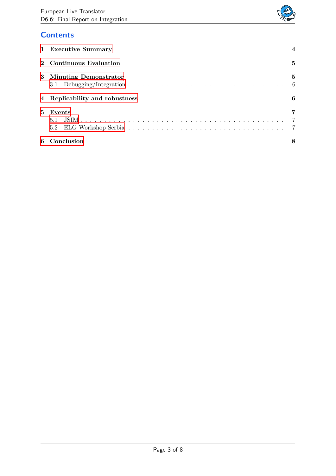

## **Contents**

|   | 1 Executive Summary            |   |
|---|--------------------------------|---|
|   | Continuous Evaluation          | 5 |
|   | 3 Minuting Demonstrator        | 5 |
|   | 4 Replicability and robustness | 6 |
| 5 | Events<br>5.1                  | 7 |
| 6 | Conclusion                     |   |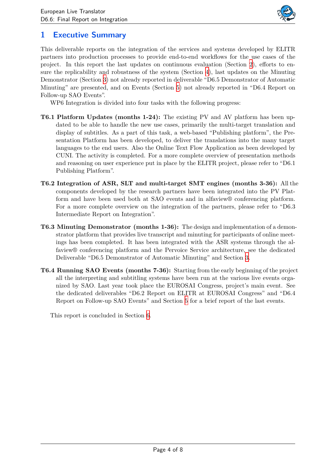

## <span id="page-3-0"></span>**1 Executive Summary**

This deliverable reports on the integration of the services and systems developed by ELITR partners into production processes to provide end-to-end workflows for the use cases of the project. In this report the last updates on continuous evaluation (Section [2\)](#page-4-0), efforts to ensure the replicability and robustness of the system (Section [4\)](#page-5-1), last updates on the Minuting Demonstrator (Section [3](#page-4-1)) not already reported in deliverable "D6.5 Demonstrator of Automatic Minuting" are presented, and on Events (Section [5\)](#page-6-0) not already reported in "D6.4 Report on Follow-up SAO Events".

WP6 Integration is divided into four tasks with the following progress:

- **T6.1 Platform Updates (months 1-24):** The existing PV and AV platform has been updated to be able to handle the new use cases, primarily the multi-target translation and display of subtitles. As a part of this task, a web-based "Publishing platform", the Presentation Platform has been developed, to deliver the translations into the many target languages to the end users. Also the Online Text Flow Application as been developed by CUNI. The activity is completed. For a more complete overview of presentation methods and reasoning on user experience put in place by the ELITR project, please refer to "D6.1 Publishing Platform".
- **T6.2 Integration of ASR, SLT and multi-target SMT engines (months 3-36):** All the components developed by the research partners have been integrated into the PV Platform and have been used both at SAO events and in alfaview® conferencing platform. For a more complete overview on the integration of the partners, please refer to "D6.3 Intermediate Report on Integration".
- **T6.3 Minuting Demonstrator (months 1-36):** The design and implementation of a demonstrator platform that provides live transcript and minuting for participants of online meetings has been completed. It has been integrated with the ASR systems through the alfaview® conferencing platform and the Pervoice Service architecture, see the dedicated Deliverable "D6.5 Demonstrator of Automatic Minuting" and Section [3](#page-4-1).
- **T6.4 Running SAO Events (months 7-36):** Starting from the early beginning of the project all the interpreting and subtitling systems have been run at the various live events organized by SAO. Last year took place the EUROSAI Congress, project's main event. See the dedicated deliverables "D6.2 Report on ELITR at EUROSAI Congress" and "D6.4 Report on Follow-up SAO Events" and Section [5](#page-6-0) for a brief report of the last events.

This report is concluded in Section [6](#page-7-0).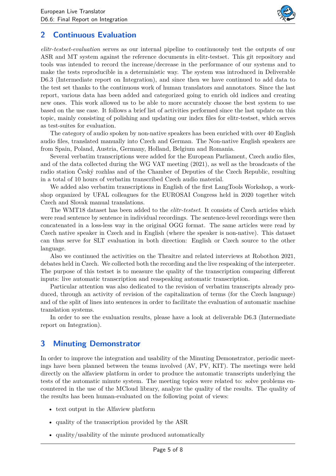

## <span id="page-4-0"></span>**2 Continuous Evaluation**

*elitr-testset-evaluation* serves as our internal pipeline to continuously test the outputs of our ASR and MT system against the reference documents in elitr-testset. This git repository and tools was intended to record the increase/decrease in the performance of our systems and to make the tests reproducible in a deterministic way. The system was introduced in Deliverable D6.3 (Intermediate report on Integration), and since then we have continued to add data to the test set thanks to the continuous work of human translators and annotators. Since the last report, various data has been added and categorized going to enrich old indices and creating new ones. This work allowed us to be able to more accurately choose the best system to use based on the use case. It follows a brief list of activities performed since the last update on this topic, mainly consisting of polishing and updating our index files for elitr-testset, which serves as test-suites for evaluation.

The category of audio spoken by non-native speakers has been enriched with over 40 English audio files, translated manually into Czech and German. The Non-native English speakers are from Spain, Poland, Austria, Germany, Holland, Belgium and Romania.

Several verbatim transcriptions were added for the European Parliament, Czech audio files, and of the data collected during the WG VAT meeting (2021), as well as the broadcasts of the radio station Český rozhlas and of the Chamber of Deputies of the Czech Republic, resulting in a total of 10 hours of verbatim transcribed Czech audio material.

We added also verbatim transcriptions in English of the first LangTools Workshop, a workshop organized by UFAL colleagues for the EUROSAI Congress held in 2020 together witch Czech and Slovak manual translations.

The WMT18 dataset has been added to the *elitr-testset*. It consists of Czech articles which were read sentence by sentence in individual recordings. The sentence-level recordings were then concatenated in a loss-less way in the original OGG format. The same articles were read by Czech native speaker in Czech and in English (where the speaker is non-native). This dataset can thus serve for SLT evaluation in both direction: English or Czech source to the other language.

Also we continued the activities on the Theaitre and related interviews at Robothon 2021, debates held in Czech. We collected both the recording and the live respeaking of the interpreter. The purpose of this testset is to measure the quality of the transcription comparing different inputs: live automatic transcription and reaspeaking automatic transcription.

Particular attention was also dedicated to the revision of verbatim transcripts already produced, through an activity of revision of the capitalization of terms (for the Czech language) and of the split of lines into sentences in order to facilitate the evaluation of automatic machine translation systems.

In order to see the evaluation results, please have a look at deliverable D6.3 (Intermediate report on Integration).

#### <span id="page-4-1"></span>**3 Minuting Demonstrator**

In order to improve the integration and usability of the Minuting Demonstrator, periodic meetings have been planned between the teams involved (AV, PV, KIT). The meetings were held directly on the alfaview platform in order to produce the automatic transcripts underlying the tests of the automatic minute system. The meeting topics were related to: solve problems encountered in the use of the MCloud library, analyze the quality of the results. The quality of the results has been human-evaluated on the following point of views:

- text output in the Alfaview platform
- quality of the transcription provided by the ASR
- quality/usability of the minute produced automatically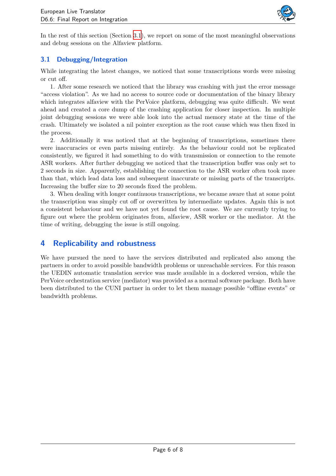

In the rest of this section (Section [3.1](#page-5-0)), we report on some of the most meaningful observations and debug sessions on the Alfaview platform.

#### <span id="page-5-0"></span>**3.1 Debugging/Integration**

While integrating the latest changes, we noticed that some transcriptions words were missing or cut off.

1. After some research we noticed that the library was crashing with just the error message "access violation". As we had no access to source code or documentation of the binary library which integrates alfaview with the PerVoice platform, debugging was quite difficult. We went ahead and created a core dump of the crashing application for closer inspection. In multiple joint debugging sessions we were able look into the actual memory state at the time of the crash. Ultimately we isolated a nil pointer exception as the root cause which was then fixed in the process.

2. Additionally it was noticed that at the beginning of transcriptions, sometimes there were inaccuracies or even parts missing entirely. As the behaviour could not be replicated consistently, we figured it had something to do with transmission or connection to the remote ASR workers. After further debugging we noticed that the transcription buffer was only set to 2 seconds in size. Apparently, establishing the connection to the ASR worker often took more than that, which lead data loss and subsequent inaccurate or missing parts of the transcripts. Increasing the buffer size to 20 seconds fixed the problem.

3. When dealing with longer continuous transcriptions, we became aware that at some point the transcription was simply cut off or overwritten by intermediate updates. Again this is not a consistent behaviour and we have not yet found the root cause. We are currently trying to figure out where the problem originates from, alfaview, ASR worker or the mediator. At the time of writing, debugging the issue is still ongoing.

#### <span id="page-5-1"></span>**4 Replicability and robustness**

We have pursued the need to have the services distributed and replicated also among the partners in order to avoid possible bandwidth problems or unreachable services. For this reason the UEDIN automatic translation service was made available in a dockered version, while the PerVoice orchestration service (mediator) was provided as a normal software package. Both have been distributed to the CUNI partner in order to let them manage possible "offline events" or bandwidth problems.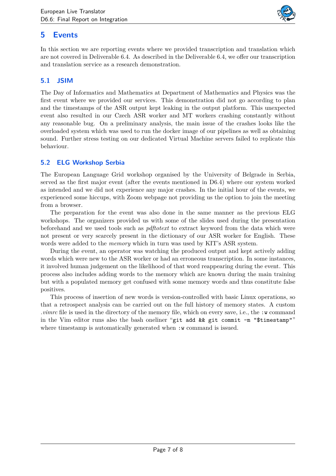

## <span id="page-6-0"></span>**5 Events**

In this section we are reporting events where we provided transcription and translation which are not covered in Deliverable 6.4. As described in the Deliverable 6.4, we offer our transcription and translation service as a research demonstration.

#### <span id="page-6-1"></span>**5.1 JSIM**

The Day of Informatics and Mathematics at Department of Mathematics and Physics was the first event where we provided our services. This demonstration did not go according to plan and the timestamps of the ASR output kept leaking in the output platform. This unexpected event also resulted in our Czech ASR worker and MT workers crashing constantly without any reasonable bug. On a preliminary analysis, the main issue of the crashes looks like the overloaded system which was used to run the docker image of our pipelines as well as obtaining sound. Further stress testing on our dedicated Virtual Machine servers failed to replicate this behaviour.

#### <span id="page-6-2"></span>**5.2 ELG Workshop Serbia**

The European Language Grid workshop organised by the University of Belgrade in Serbia, served as the first major event (after the events mentioned in D6.4) where our system worked as intended and we did not experience any major crashes. In the initial hour of the events, we experienced some hiccups, with Zoom webpage not providing us the option to join the meeting from a browser.

The preparation for the event was also done in the same manner as the previous ELG workshops. The organizers provided us with some of the slides used during the presentation beforehand and we used tools such as *pdftotext* to extract keyword from the data which were not present or very scarcely present in the dictionary of our ASR worker for English. These words were added to the *memory* which in turn was used by KIT's ASR system.

During the event, an operator was watching the produced output and kept actively adding words which were new to the ASR worker or had an erroneous transcription. In some instances, it involved human judgement on the likelihood of that word reappearing during the event. This process also includes adding words to the memory which are known during the main training but with a populated memory get confused with some memory words and thus constitute false positives.

This process of insertion of new words is version-controlled with basic Linux operations, so that a retrospect analysis can be carried out on the full history of memory states. A custom *vimrc* file is used in the directory of the memory file, which on every save, i.e., the :w command in the Vim editor runs also the bash oneliner "git add && git commit -m "\$timestamp"" where timestamp is automatically generated when  $\cdot$  w command is issued.